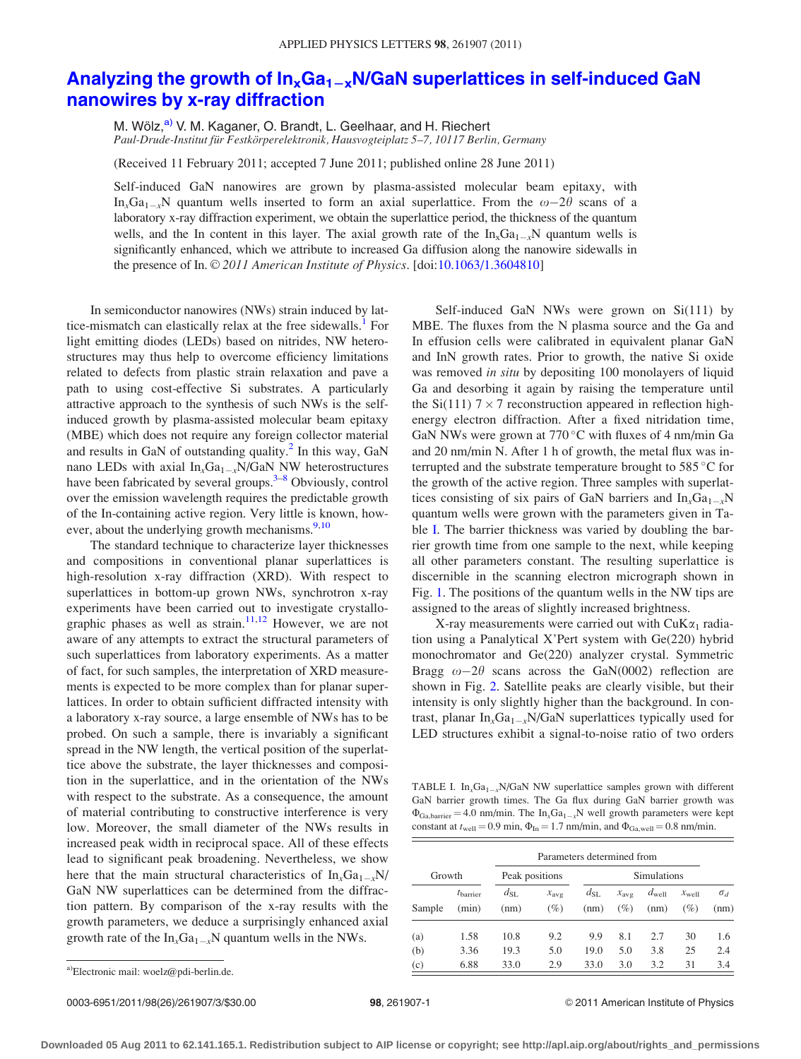## <span id="page-0-0"></span>Analyzing the growth of  $In_xGa_{1-x}N/GaN$  superlattices in self-induced GaN [nanowires by x-ray diffraction](http://dx.doi.org/10.1063/1.3604810)

M. Wölz,<sup>a)</sup> V. M. Kaganer, O. Brandt, L. Geelhaar, and H. Riechert Paul-Drude-Institut für Festkörperelektronik, Hausvogteiplatz 5–7, 10117 Berlin, Germany

(Received 11 February 2011; accepted 7 June 2011; published online 28 June 2011)

Self-induced GaN nanowires are grown by plasma-assisted molecular beam epitaxy, with In<sub>x</sub>Ga<sub>1-x</sub>N quantum wells inserted to form an axial superlattice. From the  $\omega$ -2 $\theta$  scans of a laboratory x-ray diffraction experiment, we obtain the superlattice period, the thickness of the quantum wells, and the In content in this layer. The axial growth rate of the  $\ln_{x}Ga_{1-x}N$  quantum wells is significantly enhanced, which we attribute to increased Ga diffusion along the nanowire sidewalls in the presence of In. © 2011 American Institute of Physics. [doi:[10.1063/1.3604810\]](http://dx.doi.org/10.1063/1.3604810)

In semiconductor nanowires (NWs) strain induced by lattice-mismatch can elastically relax at the free sidewalls.<sup>1</sup> For light emitting diodes (LEDs) based on nitrides, NW heterostructures may thus help to overcome efficiency limitations related to defects from plastic strain relaxation and pave a path to using cost-effective Si substrates. A particularly attractive approach to the synthesis of such NWs is the selfinduced growth by plasma-assisted molecular beam epitaxy (MBE) which does not require any foreign collector material and results in GaN of outstanding quality. $^2$  $^2$  In this way, GaN nano LEDs with axial  $In_xGa_{1-x}N/GaN$  NW heterostructures have been fabricated by several groups.<sup>[3–8](#page-2-0)</sup> Obviously, control over the emission wavelength requires the predictable growth of the In-containing active region. Very little is known, however, about the underlying growth mechanisms.<sup>9,10</sup>

The standard technique to characterize layer thicknesses and compositions in conventional planar superlattices is high-resolution x-ray diffraction (XRD). With respect to superlattices in bottom-up grown NWs, synchrotron x-ray experiments have been carried out to investigate crystallo-graphic phases as well as strain.<sup>[11,12](#page-2-0)</sup> However, we are not aware of any attempts to extract the structural parameters of such superlattices from laboratory experiments. As a matter of fact, for such samples, the interpretation of XRD measurements is expected to be more complex than for planar superlattices. In order to obtain sufficient diffracted intensity with a laboratory x-ray source, a large ensemble of NWs has to be probed. On such a sample, there is invariably a significant spread in the NW length, the vertical position of the superlattice above the substrate, the layer thicknesses and composition in the superlattice, and in the orientation of the NWs with respect to the substrate. As a consequence, the amount of material contributing to constructive interference is very low. Moreover, the small diameter of the NWs results in increased peak width in reciprocal space. All of these effects lead to significant peak broadening. Nevertheless, we show here that the main structural characteristics of  $In_xGa_{1-x}N$ / GaN NW superlattices can be determined from the diffraction pattern. By comparison of the x-ray results with the growth parameters, we deduce a surprisingly enhanced axial growth rate of the  $In_xGa_{1-x}N$  quantum wells in the NWs.

Self-induced GaN NWs were grown on Si(111) by MBE. The fluxes from the N plasma source and the Ga and In effusion cells were calibrated in equivalent planar GaN and InN growth rates. Prior to growth, the native Si oxide was removed in situ by depositing 100 monolayers of liquid Ga and desorbing it again by raising the temperature until the Si(111)  $7 \times 7$  reconstruction appeared in reflection highenergy electron diffraction. After a fixed nitridation time, GaN NWs were grown at  $770^{\circ}$ C with fluxes of 4 nm/min Ga and 20 nm/min N. After 1 h of growth, the metal flux was interrupted and the substrate temperature brought to  $585^{\circ}$ C for the growth of the active region. Three samples with superlattices consisting of six pairs of GaN barriers and  $In_xGa_{1-x}N$ quantum wells were grown with the parameters given in Table I. The barrier thickness was varied by doubling the barrier growth time from one sample to the next, while keeping all other parameters constant. The resulting superlattice is discernible in the scanning electron micrograph shown in Fig. [1](#page-1-0). The positions of the quantum wells in the NW tips are assigned to the areas of slightly increased brightness.

X-ray measurements were carried out with  $CuK\alpha_1$  radiation using a Panalytical X'Pert system with Ge(220) hybrid monochromator and Ge(220) analyzer crystal. Symmetric Bragg  $\omega - 2\theta$  scans across the GaN(0002) reflection are shown in Fig. [2.](#page-1-0) Satellite peaks are clearly visible, but their intensity is only slightly higher than the background. In contrast, planar  $In_xGa_{1-x}N/GaN$  superlattices typically used for LED structures exhibit a signal-to-noise ratio of two orders

TABLE I.  $In_xGa_{1-x}N/GaN$  NW superlattice samples grown with different GaN barrier growth times. The Ga flux during GaN barrier growth was  $\Phi_{Ga,barrier} = 4.0$  nm/min. The  $In_xGa_{1-x}N$  well growth parameters were kept constant at  $t_{\text{well}} = 0.9$  min,  $\Phi_{\text{In}} = 1.7$  nm/min, and  $\Phi_{\text{Ga,well}} = 0.8$  nm/min.

|        |                        | Parameters determined from |                         |                      |                            |                           |                             |                    |
|--------|------------------------|----------------------------|-------------------------|----------------------|----------------------------|---------------------------|-----------------------------|--------------------|
| Growth |                        | Peak positions             |                         | <b>Simulations</b>   |                            |                           |                             |                    |
| Sample | $t_{barrier}$<br>(min) | $d_{SL}$<br>(nm)           | $x_{\text{avg}}$<br>(%) | $d_{\rm SL}$<br>(nm) | $x_{\text{avg}}$<br>$(\%)$ | $d_{\text{well}}$<br>(nm) | $x_{\text{well}}$<br>$(\%)$ | $\sigma_d$<br>(nm) |
| (a)    | 1.58                   | 10.8                       | 9.2                     | 9.9                  | 8.1                        | 2.7                       | 30                          | 1.6                |
| (b)    | 3.36                   | 19.3                       | 5.0                     | 19.0                 | 5.0                        | 3.8                       | 25                          | 2.4                |
| (c)    | 6.88                   | 33.0                       | 2.9                     | 33.0                 | 3.0                        | 3.2                       | 31                          | 3.4                |

<sup>&</sup>lt;sup>a)</sup> Electronic mail: woelz@pdi-berlin.de.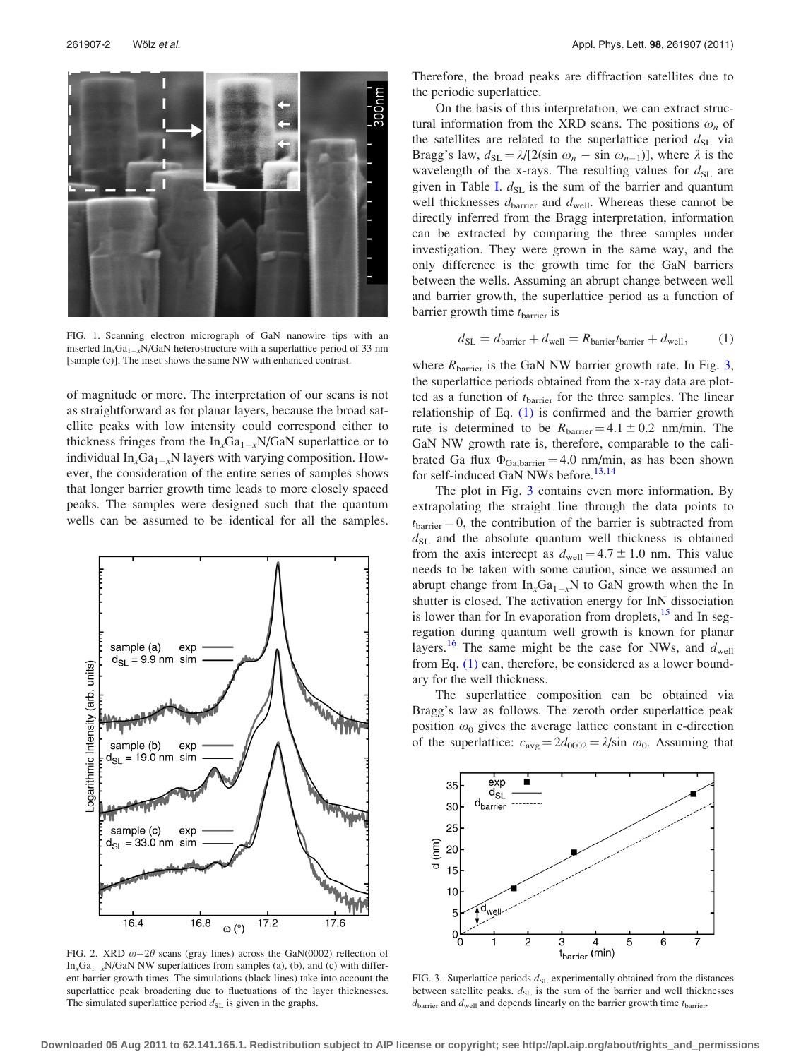<span id="page-1-0"></span>

FIG. 1. Scanning electron micrograph of GaN nanowire tips with an inserted  $\text{In}_x\text{Ga}_{1-x}N/\text{Ga}N$  heterostructure with a superlattice period of 33 nm [sample (c)]. The inset shows the same NW with enhanced contrast.

of magnitude or more. The interpretation of our scans is not as straightforward as for planar layers, because the broad satellite peaks with low intensity could correspond either to thickness fringes from the  $In_xGa_{1-x}N/GaN$  superlattice or to individual  $In_xGa_{1-x}N$  layers with varying composition. However, the consideration of the entire series of samples shows that longer barrier growth time leads to more closely spaced peaks. The samples were designed such that the quantum wells can be assumed to be identical for all the samples.



FIG. 2. XRD  $\omega-2\theta$  scans (gray lines) across the GaN(0002) reflection of  $In_xGa_{1-x}N/GaN$  NW superlattices from samples (a), (b), and (c) with different barrier growth times. The simulations (black lines) take into account the superlattice peak broadening due to fluctuations of the layer thicknesses. The simulated superlattice period  $d_{SL}$  is given in the graphs.

Therefore, the broad peaks are diffraction satellites due to the periodic superlattice.

On the basis of this interpretation, we can extract structural information from the XRD scans. The positions  $\omega_n$  of the satellites are related to the superlattice period  $d_{SL}$  via Bragg's law,  $d_{SL} = \lambda / [2(\sin \omega_n - \sin \omega_{n-1})]$ , where  $\lambda$  is the wavelength of the x-rays. The resulting values for  $d_{SL}$  are given in Table [I.](#page-0-0)  $d_{SL}$  is the sum of the barrier and quantum well thicknesses  $d_{barrier}$  and  $d_{well}$ . Whereas these cannot be directly inferred from the Bragg interpretation, information can be extracted by comparing the three samples under investigation. They were grown in the same way, and the only difference is the growth time for the GaN barriers between the wells. Assuming an abrupt change between well and barrier growth, the superlattice period as a function of barrier growth time  $t_{\text{barrier}}$  is

$$
d_{\rm SL} = d_{\rm barrier} + d_{\rm well} = R_{\rm barrier} t_{\rm barrier} + d_{\rm well},\tag{1}
$$

where  $R_{barrier}$  is the GaN NW barrier growth rate. In Fig. 3, the superlattice periods obtained from the x-ray data are plotted as a function of  $t_{barrier}$  for the three samples. The linear relationship of Eq. [\(1\)](#page-2-0) is confirmed and the barrier growth rate is determined to be  $R_{barrier} = 4.1 \pm 0.2$  nm/min. The GaN NW growth rate is, therefore, comparable to the calibrated Ga flux  $\Phi_{Ga,barrier} = 4.0$  nm/min, as has been shown for self-induced GaN NWs before.<sup>[13,14](#page-2-0)</sup>

The plot in Fig. 3 contains even more information. By extrapolating the straight line through the data points to  $t_{barrier} = 0$ , the contribution of the barrier is subtracted from  $d_{SL}$  and the absolute quantum well thickness is obtained from the axis intercept as  $d_{\text{well}} = 4.7 \pm 1.0$  nm. This value needs to be taken with some caution, since we assumed an abrupt change from  $In_xGa_{1-x}N$  to GaN growth when the In shutter is closed. The activation energy for InN dissociation is lower than for In evaporation from droplets, $15$  and In segregation during quantum well growth is known for planar layers.<sup>[16](#page-2-0)</sup> The same might be the case for NWs, and  $d_{\text{well}}$ from Eq. [\(1\)](#page-2-0) can, therefore, be considered as a lower boundary for the well thickness.

The superlattice composition can be obtained via Bragg's law as follows. The zeroth order superlattice peak position  $\omega_0$  gives the average lattice constant in c-direction of the superlattice:  $c_{\text{avg}} = 2d_{0002} = \lambda/\sin \omega_0$ . Assuming that



FIG. 3. Superlattice periods  $d_{SL}$  experimentally obtained from the distances between satellite peaks.  $d_{SL}$  is the sum of the barrier and well thicknesses  $d_{barrier}$  and  $d_{well}$  and depends linearly on the barrier growth time  $t_{barrier}$ .